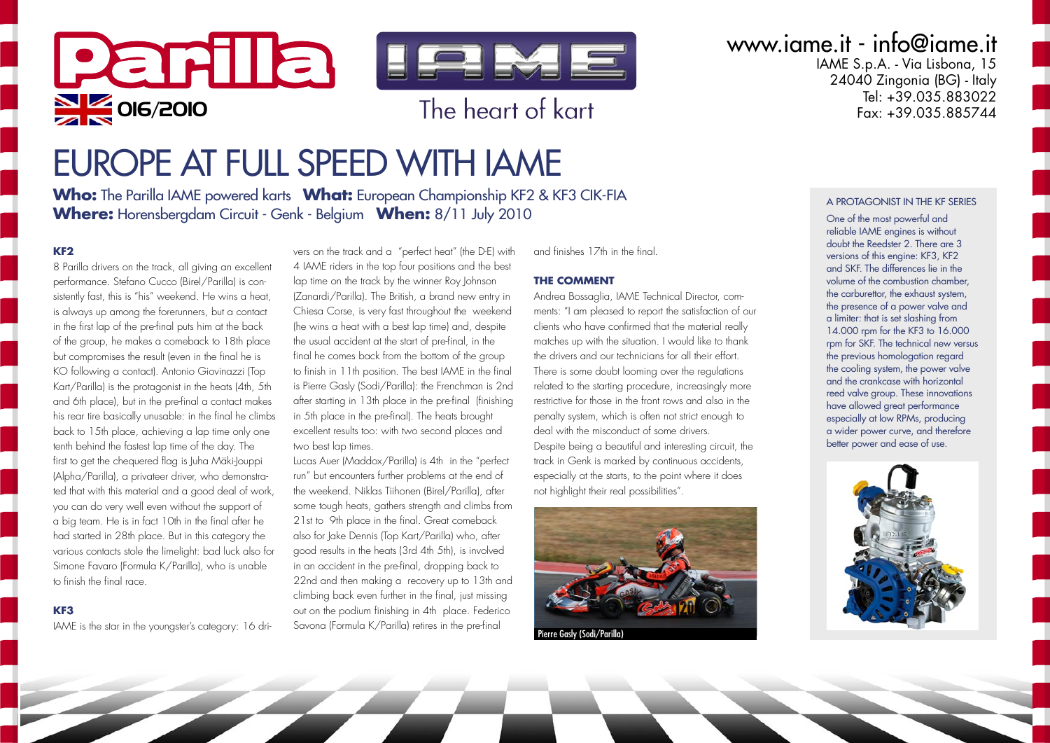

## EUROPE AT FULL SPEED WITH IAME

**Who:** The Parilla IAME powered karts **What:** European Championship KF2 & KF3 CIK-FIA **Where:** Horensbergdam Circuit - Genk - Belgium **When:** 8/11 July 2010

#### **KF2**

8 Parilla drivers on the track, all giving an excellent performance. Stefano Cucco (Birel/Parilla) is consistently fast, this is "his" weekend. He wins a heat, is always up among the forerunners, but a contact in the first lap of the pre-final puts him at the back of the group, he makes a comeback to 18th place but compromises the result (even in the final he is KO following a contact). Antonio Giovinazzi (Top Kart/Parilla) is the protagonist in the heats (4th, 5th and 6th place), but in the pre-final a contact makes his rear tire basically unusable: in the final he climbs back to 15th place, achieving a lap time only one tenth behind the fastest lap time of the day. The first to get the chequered flag is Juha Mäki-Jouppi (Alpha/Parilla), a privateer driver, who demonstrated that with this material and a good deal of work, you can do very well even without the support of a big team. He is in fact 10th in the final after he had started in 28th place. But in this category the various contacts stole the limelight: bad luck also for Simone Favaro (Formula K/Parilla), who is unable to finish the final race.

#### **KF3**

IAME is the star in the youngster's category: 16 dri-

vers on the track and a "perfect heat" (the D-E) with 4 IAME riders in the top four positions and the best lap time on the track by the winner Roy Johnson (Zanardi/Parilla). The British, a brand new entry in Chiesa Corse, is very fast throughout the weekend (he wins a heat with a best lap time) and, despite the usual accident at the start of pre-final, in the final he comes back from the bottom of the group to finish in 11th position. The best IAME in the final is Pierre Gasly (Sodi/Parilla): the Frenchman is 2nd after starting in 13th place in the pre-final (finishing in 5th place in the pre-final). The heats brought excellent results too: with two second places and two best lap times.

Lucas Auer (Maddox/Parilla) is 4th in the "perfect run" but encounters further problems at the end of the weekend. Niklas Tiihonen (Birel/Parilla), after some tough heats, gathers strength and climbs from 21st to 9th place in the final. Great comeback also for Jake Dennis (Top Kart/Parilla) who, after good results in the heats (3rd 4th 5th), is involved in an accident in the pre-final, dropping back to 22nd and then making a recovery up to 13th and climbing back even further in the final, just missing out on the podium finishing in 4th place. Federico Savona (Formula K/Parilla) retires in the pre-final

and finishes 17th in the final.

#### **THE COMMENT**

Andrea Bossaglia, IAME Technical Director, comments: "I am pleased to report the satisfaction of our clients who have confirmed that the material really matches up with the situation. I would like to thank the drivers and our technicians for all their effort. There is some doubt looming over the regulations related to the starting procedure, increasingly more restrictive for those in the front rows and also in the penalty system, which is often not strict enough to deal with the misconduct of some drivers. Despite being a beautiful and interesting circuit, the track in Genk is marked by continuous accidents, especially at the starts, to the point where it does not highlight their real possibilities".



Pierre Gasly (Sodi/Parilla)

www.iame.it - info@iame.it

IAME S.p.A. - Via Lisbona, 15  $24040$  Zingonia (BG) - Italy Tel: +39.035.883022<br>Eax: +39.035.885744

#### A PROTAGONIST IN THE KF SERIES

One of the most powerful and reliable IAME engines is without doubt the Reedster 2. There are 3 versions of this engine: KF3, KF2 and SKF. The differences lie in the volume of the combustion chamber, the carburettor, the exhaust system, the presence of a power valve and a limiter: that is set slashing from 14.000 rpm for the KF3 to 16.000 rpm for SKF. The technical new versus the previous homologation regard the cooling system, the power valve and the crankcase with horizontal reed valve group. These innovations have allowed great performance especially at low RPMs, producing a wider power curve, and therefore better power and ease of use.

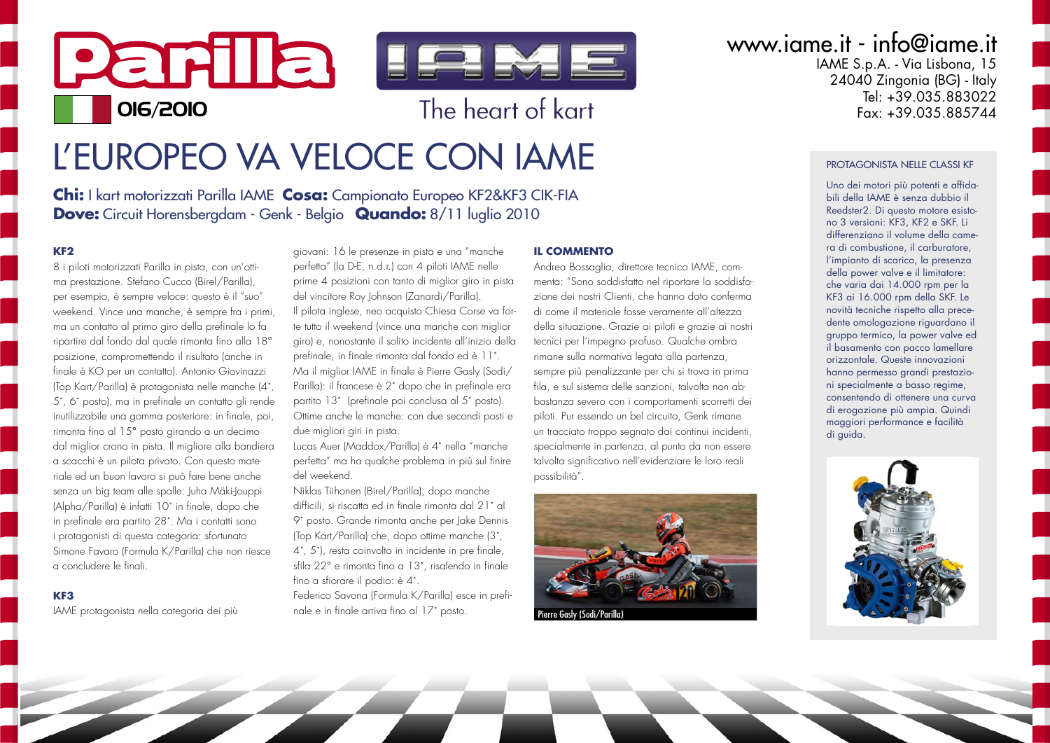# Parila lema OIG/2010 **The heart of kart**

## L'EUROPEO VA VELOCE CON IAME

**Chi:** I kart motorizzati Parilla IAME **Cosa:** Campionato Europeo KF2&KF3 CIK-FIA **Dove:** Circuit Horensbergdam - Genk - Belgio **Quando:** 8/11 luglio 2010

#### **KF2**

8 i piloti motorizzati Parilla in pista, con un'ottima prestazione. Stefano Cucco (Birel/Parilla), per esempio, è sempre veloce: questo è il "suo" weekend. Vince una manche, è sempre fra i primi, ma un contatto al primo giro della prefinale lo fa ripartire dal fondo dal quale rimonta fino alla 18ª posizione, compromettendo il risultato (anche in finale è KO per un contatto). Antonio Giovinazzi (Top Kart/Parilla) è protagonista nelle manche (4˚, 5˚, 6˚ posto), ma in prefinale un contatto gli rende inutilizzabile una gomma posteriore: in finale, poi, rimonta fino al 15° posto girando a un decimo dal miglior crono in pista. Il migliore alla bandiera a scacchi è un pilota privato. Con questo materiale ed un buon lavoro si può fare bene anche senza un big team alle spalle: Juha Mäki-Jouppi (Alpha/Parilla) è infatti 10˚ in finale, dopo che in prefinale era partito 28˚. Ma i contatti sono i protagonisti di questa categoria: sfortunato Simone Favaro (Formula K/Parilla) che non riesce a concludere le finali.

#### **KF3**

IAME protagonista nella categoria dei più

giovani: 16 le presenze in pista e una "manche perfetta" (la D-E, n.d.r.) con 4 piloti IAME nelle prime 4 posizioni con tanto di miglior giro in pista del vincitore Roy Johnson (Zanardi/Parilla). Il pilota inglese, neo acquisto Chiesa Corse va forte tutto il weekend (vince una manche con miglior giro) e, nonostante il solito incidente all'inizio della prefinale, in finale rimonta dal fondo ed è 11˚. Ma il miglior IAME in finale è Pierre Gasly (Sodi/ Parilla): il francese è 2˚ dopo che in prefinale era partito 13˚ (prefinale poi conclusa al 5˚ posto). Ottime anche le manche: con due secondi posti e due migliori giri in pista.

Lucas Auer (Maddox/Parilla) è 4˚ nella "manche perfetta" ma ha qualche problema in più sul finire del weekend.

Niklas Tiihonen (Birel/Parilla), dopo manche difficili, si riscatta ed in finale rimonta dal 21˚ al 9˚ posto. Grande rimonta anche per Jake Dennis (Top Kart/Parilla) che, dopo ottime manche (3˚, 4˚, 5˚), resta coinvolto in incidente in pre finale, sfila 22° e rimonta fino a 13˚, risalendo in finale fino a sfiorare il podio: è 4˚. Federico Savona (Formula K/Parilla) esce in prefi-

nale e in finale arriva fino al 17˚ posto.

#### **IL COMMENTO**

Andrea Bossaglia, direttore tecnico IAME, commenta: "Sono soddisfatto nel riportare la soddisfazione dei nostri Clienti, che hanno dato conferma di come il materiale fosse veramente all'altezza della situazione. Grazie ai piloti e grazie ai nostri tecnici per l'impegno profuso. Qualche ombra rimane sulla normativa legata alla partenza, sempre più penalizzante per chi si trova in prima fila, e sul sistema delle sanzioni, talvolta non abbastanza severo con i comportamenti scorretti dei piloti. Pur essendo un bel circuito, Genk rimane un tracciato troppo segnato dai continui incidenti, specialmente in partenza, al punto da non essere talvolta significativo nell'evidenziare le loro reali possibilità".



Pierre Gasly (Sodi/Parilla)

### www.iame.it - info@iame.it

IAME S.p.A. - Via Lisbona, 15  $24040$  Zingonia (BG) - Italy Tel: +39.035.883022<br>Eax: +39.035.885744

#### PROTAGONISTA NELLE CLASSI KF

Uno dei motori più potenti e affidabili della IAME è senza dubbio il Reedster2. Di questo motore esistono 3 versioni: KF3, KF2 e SKF. Li differenziano il volume della camera di combustione, il carburatore, l'impianto di scarico, la presenza della power valve e il limitatore: che varia dai 14.000 rpm per la KF3 ai 16.000 rpm della SKF. Le novità tecniche rispetto alla precedente omologazione riguardano il gruppo termico, la power valve ed il basamento con pacco lamellare orizzontale. Queste innovazioni hanno permesso grandi prestazioni specialmente a basso regime, consentendo di ottenere una curva di erogazione più ampia. Quindi maggiori performance e facilità di guida.